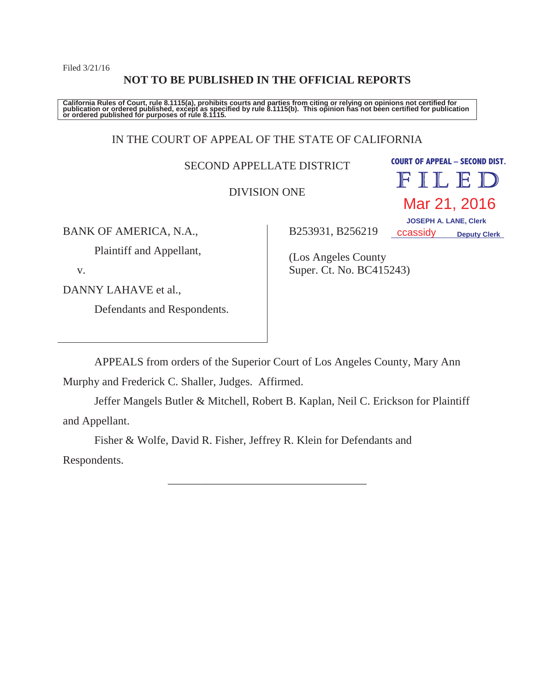Filed 3/21/16

# **NOT TO BE PUBLISHED IN THE OFFICIAL REPORTS**

California Rules of Court, rule 8.1115(a), prohibits courts and parties from citing or relying on opinions not certified for<br>publication or ordered published, except as specified by rule 8.1115(b). This opinion has not be

## IN THE COURT OF APPEAL OF THE STATE OF CALIFORNIA

## SECOND APPELLATE DISTRICT

DIVISION ONE

BANK OF AMERICA, N.A.,

Plaintiff and Appellant,

v.

DANNY LAHAVE et al.,

Defendants and Respondents.

B253931, B256219

(Los Angeles County Super. Ct. No. BC415243)

**COURT OF APPEAL – SECOND DIST.** 

FILED

 **JOSEPH A. LANE, Clerk** 

ccassidy

Mar 21, 2016

 **Deputy Clerk**

APPEALS from orders of the Superior Court of Los Angeles County, Mary Ann Murphy and Frederick C. Shaller, Judges. Affirmed.

Jeffer Mangels Butler & Mitchell, Robert B. Kaplan, Neil C. Erickson for Plaintiff and Appellant.

\_\_\_\_\_\_\_\_\_\_\_\_\_\_\_\_\_\_\_\_\_\_\_\_\_\_\_\_\_\_\_\_\_\_\_

Fisher & Wolfe, David R. Fisher, Jeffrey R. Klein for Defendants and Respondents.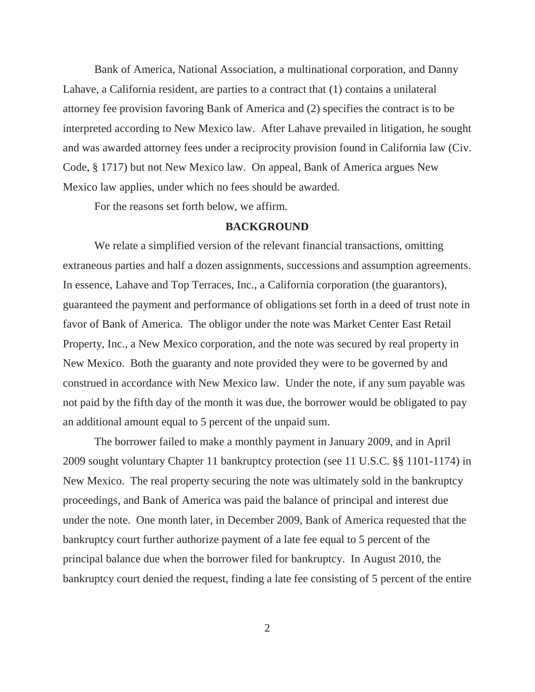Bank of America, National Association, a multinational corporation, and Danny Lahave, a California resident, are parties to a contract that (1) contains a unilateral attorney fee provision favoring Bank of America and (2) specifies the contract is to be interpreted according to New Mexico law. After Lahave prevailed in litigation, he sought and was awarded attorney fees under a reciprocity provision found in California law (Civ. Code, § 1717) but not New Mexico law. On appeal, Bank of America argues New Mexico law applies, under which no fees should be awarded.

For the reasons set forth below, we affirm.

#### **BACKGROUND**

We relate a simplified version of the relevant financial transactions, omitting extraneous parties and half a dozen assignments, successions and assumption agreements. In essence, Lahave and Top Terraces, Inc., a California corporation (the guarantors), guaranteed the payment and performance of obligations set forth in a deed of trust note in favor of Bank of America. The obligor under the note was Market Center East Retail Property, Inc., a New Mexico corporation, and the note was secured by real property in New Mexico. Both the guaranty and note provided they were to be governed by and construed in accordance with New Mexico law. Under the note, if any sum payable was not paid by the fifth day of the month it was due, the borrower would be obligated to pay an additional amount equal to 5 percent of the unpaid sum.

The borrower failed to make a monthly payment in January 2009, and in April 2009 sought voluntary Chapter 11 bankruptcy protection (see 11 U.S.C. §§ 1101-1174) in New Mexico. The real property securing the note was ultimately sold in the bankruptcy proceedings, and Bank of America was paid the balance of principal and interest due under the note. One month later, in December 2009, Bank of America requested that the bankruptcy court further authorize payment of a late fee equal to 5 percent of the principal balance due when the borrower filed for bankruptcy. In August 2010, the bankruptcy court denied the request, finding a late fee consisting of 5 percent of the entire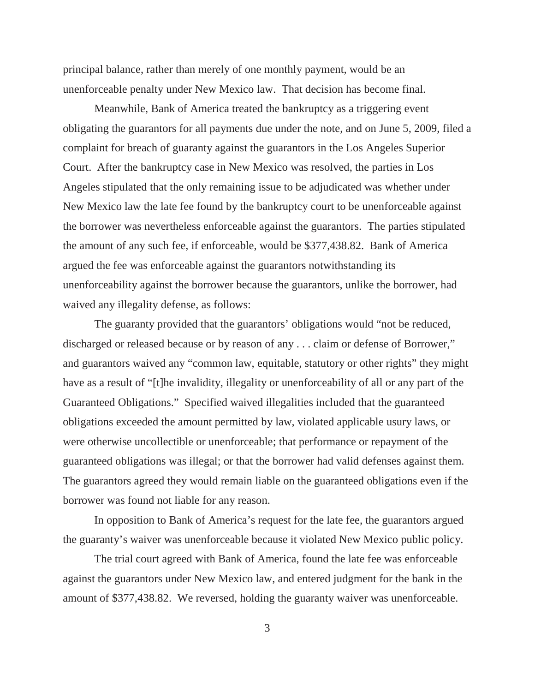principal balance, rather than merely of one monthly payment, would be an unenforceable penalty under New Mexico law. That decision has become final.

Meanwhile, Bank of America treated the bankruptcy as a triggering event obligating the guarantors for all payments due under the note, and on June 5, 2009, filed a complaint for breach of guaranty against the guarantors in the Los Angeles Superior Court. After the bankruptcy case in New Mexico was resolved, the parties in Los Angeles stipulated that the only remaining issue to be adjudicated was whether under New Mexico law the late fee found by the bankruptcy court to be unenforceable against the borrower was nevertheless enforceable against the guarantors. The parties stipulated the amount of any such fee, if enforceable, would be \$377,438.82. Bank of America argued the fee was enforceable against the guarantors notwithstanding its unenforceability against the borrower because the guarantors, unlike the borrower, had waived any illegality defense, as follows:

The guaranty provided that the guarantors' obligations would "not be reduced, discharged or released because or by reason of any . . . claim or defense of Borrower," and guarantors waived any "common law, equitable, statutory or other rights" they might have as a result of "[t]he invalidity, illegality or unenforceability of all or any part of the Guaranteed Obligations." Specified waived illegalities included that the guaranteed obligations exceeded the amount permitted by law, violated applicable usury laws, or were otherwise uncollectible or unenforceable; that performance or repayment of the guaranteed obligations was illegal; or that the borrower had valid defenses against them. The guarantors agreed they would remain liable on the guaranteed obligations even if the borrower was found not liable for any reason.

In opposition to Bank of America's request for the late fee, the guarantors argued the guaranty's waiver was unenforceable because it violated New Mexico public policy.

The trial court agreed with Bank of America, found the late fee was enforceable against the guarantors under New Mexico law, and entered judgment for the bank in the amount of \$377,438.82. We reversed, holding the guaranty waiver was unenforceable.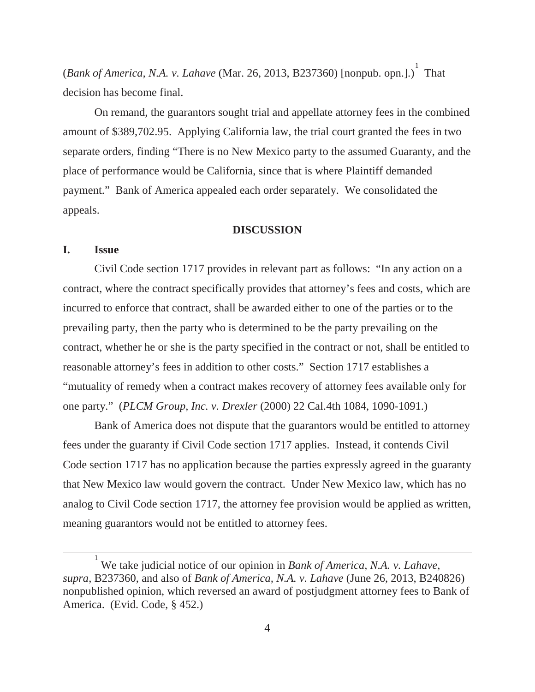(*Bank of America, N.A. v. Lahave* (Mar. 26, 2013, B237360) [nonpub. opn.].) 1 That decision has become final.

On remand, the guarantors sought trial and appellate attorney fees in the combined amount of \$389,702.95. Applying California law, the trial court granted the fees in two separate orders, finding "There is no New Mexico party to the assumed Guaranty, and the place of performance would be California, since that is where Plaintiff demanded payment." Bank of America appealed each order separately. We consolidated the appeals.

#### **DISCUSSION**

### **I. Issue**

Civil Code section 1717 provides in relevant part as follows: "In any action on a contract, where the contract specifically provides that attorney's fees and costs, which are incurred to enforce that contract, shall be awarded either to one of the parties or to the prevailing party, then the party who is determined to be the party prevailing on the contract, whether he or she is the party specified in the contract or not, shall be entitled to reasonable attorney's fees in addition to other costs." Section 1717 establishes a "mutuality of remedy when a contract makes recovery of attorney fees available only for one party." (*PLCM Group, Inc. v. Drexler* (2000) 22 Cal.4th 1084, 1090-1091.)

Bank of America does not dispute that the guarantors would be entitled to attorney fees under the guaranty if Civil Code section 1717 applies. Instead, it contends Civil Code section 1717 has no application because the parties expressly agreed in the guaranty that New Mexico law would govern the contract. Under New Mexico law, which has no analog to Civil Code section 1717, the attorney fee provision would be applied as written, meaning guarantors would not be entitled to attorney fees.

<sup>1</sup> We take judicial notice of our opinion in *Bank of America, N.A. v. Lahave*, *supra*, B237360, and also of *Bank of America, N.A. v. Lahave* (June 26, 2013, B240826) nonpublished opinion, which reversed an award of postjudgment attorney fees to Bank of America. (Evid. Code, § 452.)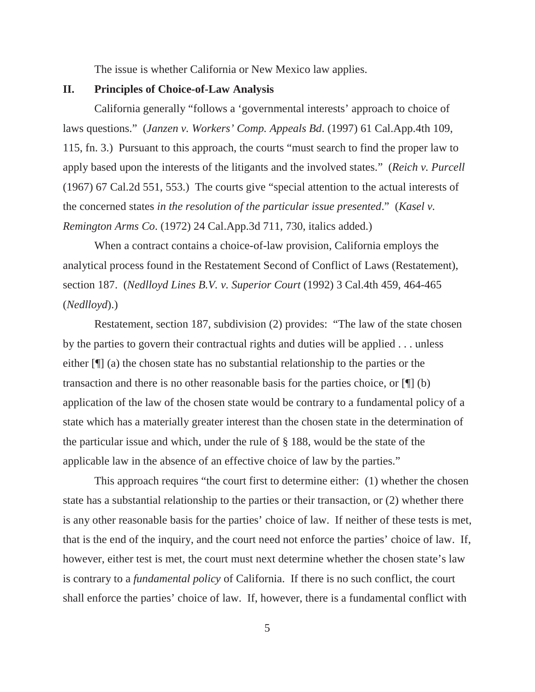The issue is whether California or New Mexico law applies.

#### **II. Principles of Choice-of-Law Analysis**

California generally "follows a 'governmental interests' approach to choice of laws questions." (*Janzen v. Workers' Comp. Appeals Bd*. (1997) 61 Cal.App.4th 109, 115, fn. 3.) Pursuant to this approach, the courts "must search to find the proper law to apply based upon the interests of the litigants and the involved states." (*Reich v. Purcell* (1967) 67 Cal.2d 551, 553.) The courts give "special attention to the actual interests of the concerned states *in the resolution of the particular issue presented*." (*Kasel v. Remington Arms Co*. (1972) 24 Cal.App.3d 711, 730, italics added.)

When a contract contains a choice-of-law provision, California employs the analytical process found in the Restatement Second of Conflict of Laws (Restatement), section 187. (*Nedlloyd Lines B.V. v. Superior Court* (1992) 3 Cal.4th 459, 464-465 (*Nedlloyd*).)

Restatement, section 187, subdivision (2) provides: "The law of the state chosen by the parties to govern their contractual rights and duties will be applied . . . unless either [¶] (a) the chosen state has no substantial relationship to the parties or the transaction and there is no other reasonable basis for the parties choice, or [¶] (b) application of the law of the chosen state would be contrary to a fundamental policy of a state which has a materially greater interest than the chosen state in the determination of the particular issue and which, under the rule of § 188, would be the state of the applicable law in the absence of an effective choice of law by the parties."

This approach requires "the court first to determine either: (1) whether the chosen state has a substantial relationship to the parties or their transaction, or (2) whether there is any other reasonable basis for the parties' choice of law. If neither of these tests is met, that is the end of the inquiry, and the court need not enforce the parties' choice of law. If, however, either test is met, the court must next determine whether the chosen state's law is contrary to a *fundamental policy* of California. If there is no such conflict, the court shall enforce the parties' choice of law. If, however, there is a fundamental conflict with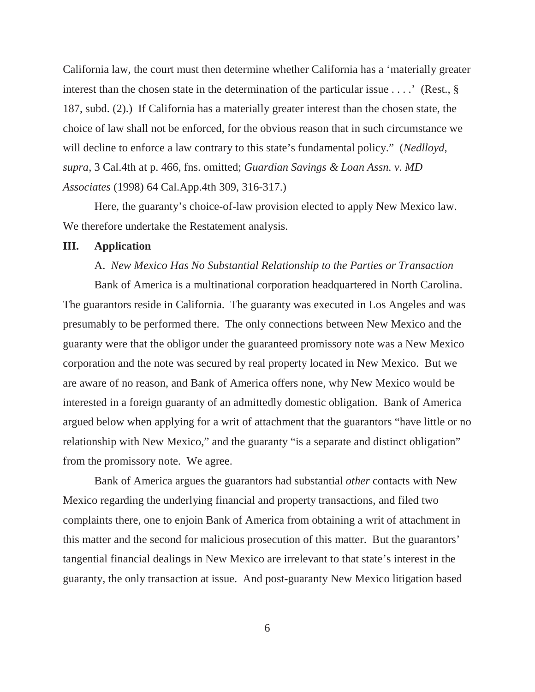California law, the court must then determine whether California has a 'materially greater interest than the chosen state in the determination of the particular issue  $\dots$ . (Rest., § 187, subd. (2).) If California has a materially greater interest than the chosen state, the choice of law shall not be enforced, for the obvious reason that in such circumstance we will decline to enforce a law contrary to this state's fundamental policy." (*Nedlloyd*, *supra*, 3 Cal.4th at p. 466, fns. omitted; *Guardian Savings & Loan Assn. v. MD Associates* (1998) 64 Cal.App.4th 309, 316-317.)

Here, the guaranty's choice-of-law provision elected to apply New Mexico law. We therefore undertake the Restatement analysis.

#### **III. Application**

#### A. *New Mexico Has No Substantial Relationship to the Parties or Transaction*

Bank of America is a multinational corporation headquartered in North Carolina. The guarantors reside in California. The guaranty was executed in Los Angeles and was presumably to be performed there. The only connections between New Mexico and the guaranty were that the obligor under the guaranteed promissory note was a New Mexico corporation and the note was secured by real property located in New Mexico. But we are aware of no reason, and Bank of America offers none, why New Mexico would be interested in a foreign guaranty of an admittedly domestic obligation. Bank of America argued below when applying for a writ of attachment that the guarantors "have little or no relationship with New Mexico," and the guaranty "is a separate and distinct obligation" from the promissory note. We agree.

Bank of America argues the guarantors had substantial *other* contacts with New Mexico regarding the underlying financial and property transactions, and filed two complaints there, one to enjoin Bank of America from obtaining a writ of attachment in this matter and the second for malicious prosecution of this matter. But the guarantors' tangential financial dealings in New Mexico are irrelevant to that state's interest in the guaranty, the only transaction at issue. And post-guaranty New Mexico litigation based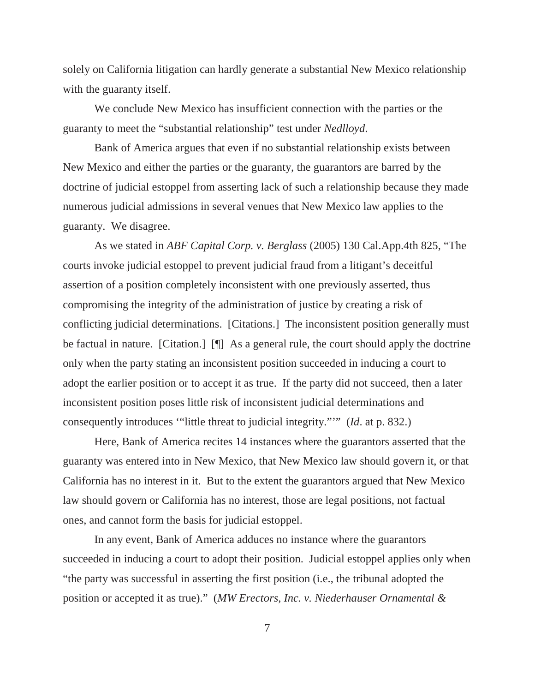solely on California litigation can hardly generate a substantial New Mexico relationship with the guaranty itself.

We conclude New Mexico has insufficient connection with the parties or the guaranty to meet the "substantial relationship" test under *Nedlloyd*.

Bank of America argues that even if no substantial relationship exists between New Mexico and either the parties or the guaranty, the guarantors are barred by the doctrine of judicial estoppel from asserting lack of such a relationship because they made numerous judicial admissions in several venues that New Mexico law applies to the guaranty. We disagree.

As we stated in *ABF Capital Corp. v. Berglass* (2005) 130 Cal.App.4th 825, "The courts invoke judicial estoppel to prevent judicial fraud from a litigant's deceitful assertion of a position completely inconsistent with one previously asserted, thus compromising the integrity of the administration of justice by creating a risk of conflicting judicial determinations. [Citations.] The inconsistent position generally must be factual in nature. [Citation.] [I] As a general rule, the court should apply the doctrine only when the party stating an inconsistent position succeeded in inducing a court to adopt the earlier position or to accept it as true. If the party did not succeed, then a later inconsistent position poses little risk of inconsistent judicial determinations and consequently introduces '"little threat to judicial integrity."'" (*Id*. at p. 832.)

Here, Bank of America recites 14 instances where the guarantors asserted that the guaranty was entered into in New Mexico, that New Mexico law should govern it, or that California has no interest in it. But to the extent the guarantors argued that New Mexico law should govern or California has no interest, those are legal positions, not factual ones, and cannot form the basis for judicial estoppel.

In any event, Bank of America adduces no instance where the guarantors succeeded in inducing a court to adopt their position. Judicial estoppel applies only when "the party was successful in asserting the first position (i.e., the tribunal adopted the position or accepted it as true)." (*MW Erectors, Inc. v. Niederhauser Ornamental &*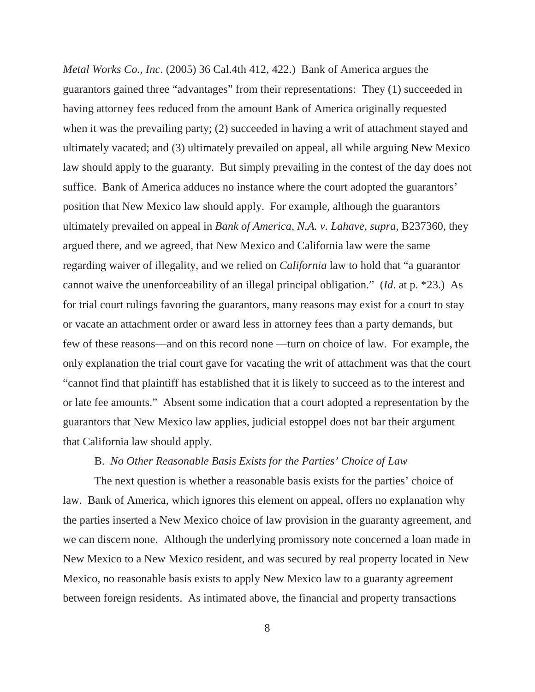*Metal Works Co., Inc*. (2005) 36 Cal.4th 412, 422.) Bank of America argues the guarantors gained three "advantages" from their representations: They (1) succeeded in having attorney fees reduced from the amount Bank of America originally requested when it was the prevailing party; (2) succeeded in having a writ of attachment stayed and ultimately vacated; and (3) ultimately prevailed on appeal, all while arguing New Mexico law should apply to the guaranty. But simply prevailing in the contest of the day does not suffice. Bank of America adduces no instance where the court adopted the guarantors' position that New Mexico law should apply. For example, although the guarantors ultimately prevailed on appeal in *Bank of America, N.A. v. Lahave*, *supra*, B237360, they argued there, and we agreed, that New Mexico and California law were the same regarding waiver of illegality, and we relied on *California* law to hold that "a guarantor cannot waive the unenforceability of an illegal principal obligation." (*Id*. at p. \*23.) As for trial court rulings favoring the guarantors, many reasons may exist for a court to stay or vacate an attachment order or award less in attorney fees than a party demands, but few of these reasons—and on this record none —turn on choice of law. For example, the only explanation the trial court gave for vacating the writ of attachment was that the court "cannot find that plaintiff has established that it is likely to succeed as to the interest and or late fee amounts." Absent some indication that a court adopted a representation by the guarantors that New Mexico law applies, judicial estoppel does not bar their argument that California law should apply.

#### B. *No Other Reasonable Basis Exists for the Parties' Choice of Law*

The next question is whether a reasonable basis exists for the parties' choice of law. Bank of America, which ignores this element on appeal, offers no explanation why the parties inserted a New Mexico choice of law provision in the guaranty agreement, and we can discern none. Although the underlying promissory note concerned a loan made in New Mexico to a New Mexico resident, and was secured by real property located in New Mexico, no reasonable basis exists to apply New Mexico law to a guaranty agreement between foreign residents. As intimated above, the financial and property transactions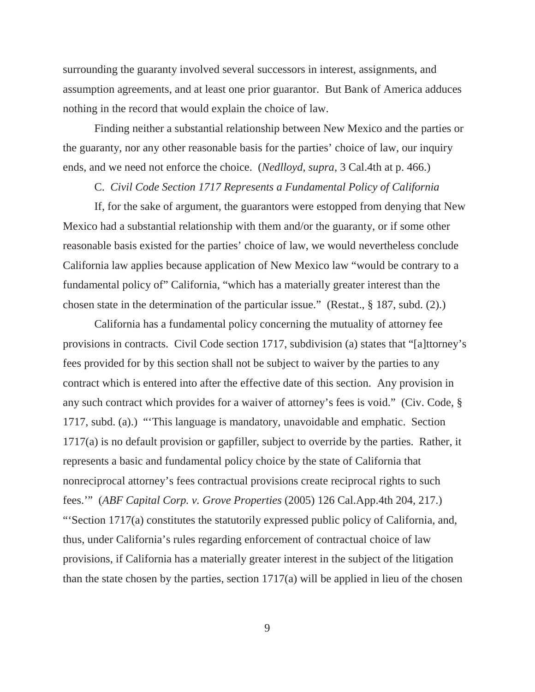surrounding the guaranty involved several successors in interest, assignments, and assumption agreements, and at least one prior guarantor. But Bank of America adduces nothing in the record that would explain the choice of law.

Finding neither a substantial relationship between New Mexico and the parties or the guaranty, nor any other reasonable basis for the parties' choice of law, our inquiry ends, and we need not enforce the choice. (*Nedlloyd*, *supra*, 3 Cal.4th at p. 466.)

#### C. *Civil Code Section 1717 Represents a Fundamental Policy of California*

If, for the sake of argument, the guarantors were estopped from denying that New Mexico had a substantial relationship with them and/or the guaranty, or if some other reasonable basis existed for the parties' choice of law, we would nevertheless conclude California law applies because application of New Mexico law "would be contrary to a fundamental policy of" California, "which has a materially greater interest than the chosen state in the determination of the particular issue." (Restat., § 187, subd. (2).)

California has a fundamental policy concerning the mutuality of attorney fee provisions in contracts. Civil Code section 1717, subdivision (a) states that "[a]ttorney's fees provided for by this section shall not be subject to waiver by the parties to any contract which is entered into after the effective date of this section. Any provision in any such contract which provides for a waiver of attorney's fees is void." (Civ. Code, § 1717, subd. (a).) "'This language is mandatory, unavoidable and emphatic. Section 1717(a) is no default provision or gapfiller, subject to override by the parties. Rather, it represents a basic and fundamental policy choice by the state of California that nonreciprocal attorney's fees contractual provisions create reciprocal rights to such fees.'" (*ABF Capital Corp. v. Grove Properties* (2005) 126 Cal.App.4th 204, 217.) "'Section 1717(a) constitutes the statutorily expressed public policy of California, and, thus, under California's rules regarding enforcement of contractual choice of law provisions, if California has a materially greater interest in the subject of the litigation than the state chosen by the parties, section 1717(a) will be applied in lieu of the chosen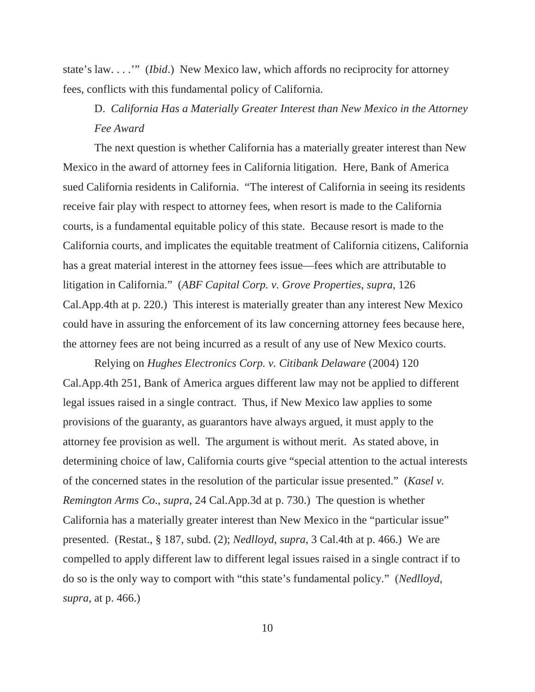state's law. . . .'" (*Ibid*.) New Mexico law, which affords no reciprocity for attorney fees, conflicts with this fundamental policy of California.

# D. *California Has a Materially Greater Interest than New Mexico in the Attorney Fee Award*

The next question is whether California has a materially greater interest than New Mexico in the award of attorney fees in California litigation. Here, Bank of America sued California residents in California. "The interest of California in seeing its residents receive fair play with respect to attorney fees, when resort is made to the California courts, is a fundamental equitable policy of this state. Because resort is made to the California courts, and implicates the equitable treatment of California citizens, California has a great material interest in the attorney fees issue—fees which are attributable to litigation in California." (*ABF Capital Corp. v. Grove Properties*, *supra*, 126 Cal.App.4th at p. 220.) This interest is materially greater than any interest New Mexico could have in assuring the enforcement of its law concerning attorney fees because here, the attorney fees are not being incurred as a result of any use of New Mexico courts.

Relying on *Hughes Electronics Corp. v. Citibank Delaware* (2004) 120 Cal.App.4th 251, Bank of America argues different law may not be applied to different legal issues raised in a single contract. Thus, if New Mexico law applies to some provisions of the guaranty, as guarantors have always argued, it must apply to the attorney fee provision as well. The argument is without merit. As stated above, in determining choice of law, California courts give "special attention to the actual interests of the concerned states in the resolution of the particular issue presented." (*Kasel v. Remington Arms Co*., *supra*, 24 Cal.App.3d at p. 730.) The question is whether California has a materially greater interest than New Mexico in the "particular issue" presented. (Restat., § 187, subd. (2); *Nedlloyd*, *supra*, 3 Cal.4th at p. 466.) We are compelled to apply different law to different legal issues raised in a single contract if to do so is the only way to comport with "this state's fundamental policy." (*Nedlloyd*, *supra*, at p. 466.)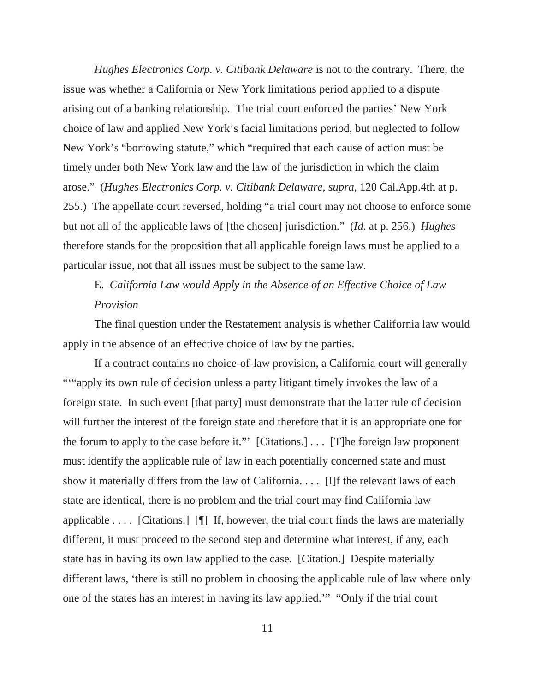*Hughes Electronics Corp. v. Citibank Delaware* is not to the contrary. There, the issue was whether a California or New York limitations period applied to a dispute arising out of a banking relationship. The trial court enforced the parties' New York choice of law and applied New York's facial limitations period, but neglected to follow New York's "borrowing statute," which "required that each cause of action must be timely under both New York law and the law of the jurisdiction in which the claim arose." (*Hughes Electronics Corp. v. Citibank Delaware*, *supra*, 120 Cal.App.4th at p. 255.) The appellate court reversed, holding "a trial court may not choose to enforce some but not all of the applicable laws of [the chosen] jurisdiction." (*Id*. at p. 256.) *Hughes* therefore stands for the proposition that all applicable foreign laws must be applied to a particular issue, not that all issues must be subject to the same law.

E. *California Law would Apply in the Absence of an Effective Choice of Law Provision*

The final question under the Restatement analysis is whether California law would apply in the absence of an effective choice of law by the parties.

If a contract contains no choice-of-law provision, a California court will generally ""apply its own rule of decision unless a party litigant timely invokes the law of a foreign state. In such event [that party] must demonstrate that the latter rule of decision will further the interest of the foreign state and therefore that it is an appropriate one for the forum to apply to the case before it." [Citations.]  $\ldots$  [T]he foreign law proponent must identify the applicable rule of law in each potentially concerned state and must show it materially differs from the law of California. . . . [I]f the relevant laws of each state are identical, there is no problem and the trial court may find California law applicable  $\ldots$  [Citations.] [ $\parallel$ ] If, however, the trial court finds the laws are materially different, it must proceed to the second step and determine what interest, if any, each state has in having its own law applied to the case. [Citation.] Despite materially different laws, 'there is still no problem in choosing the applicable rule of law where only one of the states has an interest in having its law applied.'" "Only if the trial court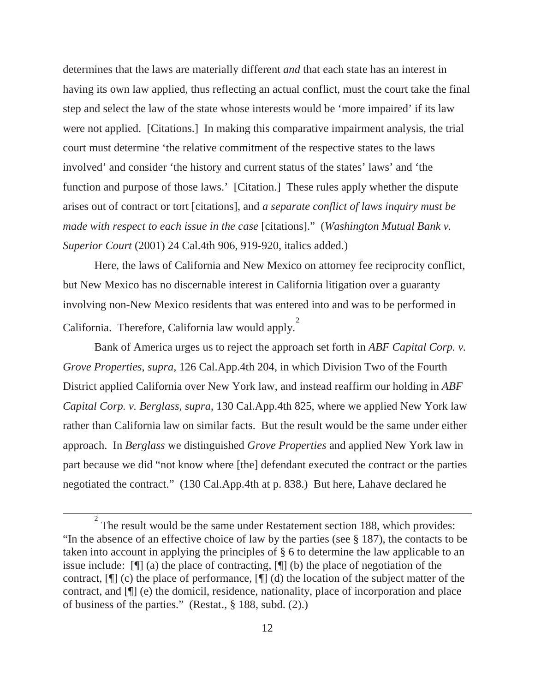determines that the laws are materially different *and* that each state has an interest in having its own law applied, thus reflecting an actual conflict, must the court take the final step and select the law of the state whose interests would be 'more impaired' if its law were not applied. [Citations.] In making this comparative impairment analysis, the trial court must determine 'the relative commitment of the respective states to the laws involved' and consider 'the history and current status of the states' laws' and 'the function and purpose of those laws.' [Citation.] These rules apply whether the dispute arises out of contract or tort [citations], and *a separate conflict of laws inquiry must be made with respect to each issue in the case* [citations]." (*Washington Mutual Bank v. Superior Court* (2001) 24 Cal.4th 906, 919-920, italics added.)

Here, the laws of California and New Mexico on attorney fee reciprocity conflict, but New Mexico has no discernable interest in California litigation over a guaranty involving non-New Mexico residents that was entered into and was to be performed in California. Therefore, California law would apply.

Bank of America urges us to reject the approach set forth in *ABF Capital Corp. v. Grove Properties*, *supra*, 126 Cal.App.4th 204, in which Division Two of the Fourth District applied California over New York law, and instead reaffirm our holding in *ABF Capital Corp. v. Berglass*, *supra*, 130 Cal.App.4th 825, where we applied New York law rather than California law on similar facts. But the result would be the same under either approach. In *Berglass* we distinguished *Grove Properties* and applied New York law in part because we did "not know where [the] defendant executed the contract or the parties negotiated the contract." (130 Cal.App.4th at p. 838.) But here, Lahave declared he

 $2^{2}$  The result would be the same under Restatement section 188, which provides: "In the absence of an effective choice of law by the parties (see § 187), the contacts to be taken into account in applying the principles of § 6 to determine the law applicable to an issue include: [¶] (a) the place of contracting, [¶] (b) the place of negotiation of the contract, [¶] (c) the place of performance, [¶] (d) the location of the subject matter of the contract, and [¶] (e) the domicil, residence, nationality, place of incorporation and place of business of the parties." (Restat., § 188, subd. (2).)